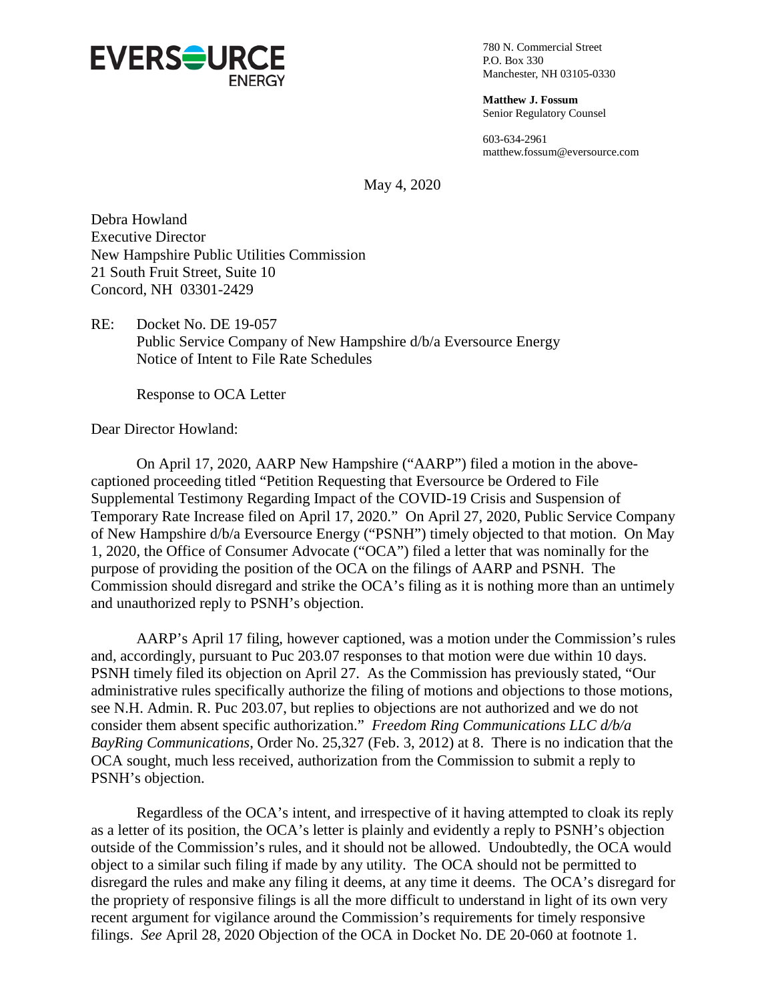

780 N. Commercial Street P.O. Box 330 Manchester, NH 03105-0330

**Matthew J. Fossum** Senior Regulatory Counsel

603-634-2961 matthew.fossum@eversource.com

May 4, 2020

Debra Howland Executive Director New Hampshire Public Utilities Commission 21 South Fruit Street, Suite 10 Concord, NH 03301-2429

RE: Docket No. DE 19-057 Public Service Company of New Hampshire d/b/a Eversource Energy Notice of Intent to File Rate Schedules

Response to OCA Letter

Dear Director Howland:

On April 17, 2020, AARP New Hampshire ("AARP") filed a motion in the abovecaptioned proceeding titled "Petition Requesting that Eversource be Ordered to File Supplemental Testimony Regarding Impact of the COVID-19 Crisis and Suspension of Temporary Rate Increase filed on April 17, 2020." On April 27, 2020, Public Service Company of New Hampshire d/b/a Eversource Energy ("PSNH") timely objected to that motion. On May 1, 2020, the Office of Consumer Advocate ("OCA") filed a letter that was nominally for the purpose of providing the position of the OCA on the filings of AARP and PSNH. The Commission should disregard and strike the OCA's filing as it is nothing more than an untimely and unauthorized reply to PSNH's objection.

AARP's April 17 filing, however captioned, was a motion under the Commission's rules and, accordingly, pursuant to Puc 203.07 responses to that motion were due within 10 days. PSNH timely filed its objection on April 27. As the Commission has previously stated, "Our administrative rules specifically authorize the filing of motions and objections to those motions, see N.H. Admin. R. Puc 203.07, but replies to objections are not authorized and we do not consider them absent specific authorization." *Freedom Ring Communications LLC d/b/a BayRing Communications*, Order No. 25,327 (Feb. 3, 2012) at 8. There is no indication that the OCA sought, much less received, authorization from the Commission to submit a reply to PSNH's objection.

Regardless of the OCA's intent, and irrespective of it having attempted to cloak its reply as a letter of its position, the OCA's letter is plainly and evidently a reply to PSNH's objection outside of the Commission's rules, and it should not be allowed. Undoubtedly, the OCA would object to a similar such filing if made by any utility. The OCA should not be permitted to disregard the rules and make any filing it deems, at any time it deems. The OCA's disregard for the propriety of responsive filings is all the more difficult to understand in light of its own very recent argument for vigilance around the Commission's requirements for timely responsive filings. *See* April 28, 2020 Objection of the OCA in Docket No. DE 20-060 at footnote 1.